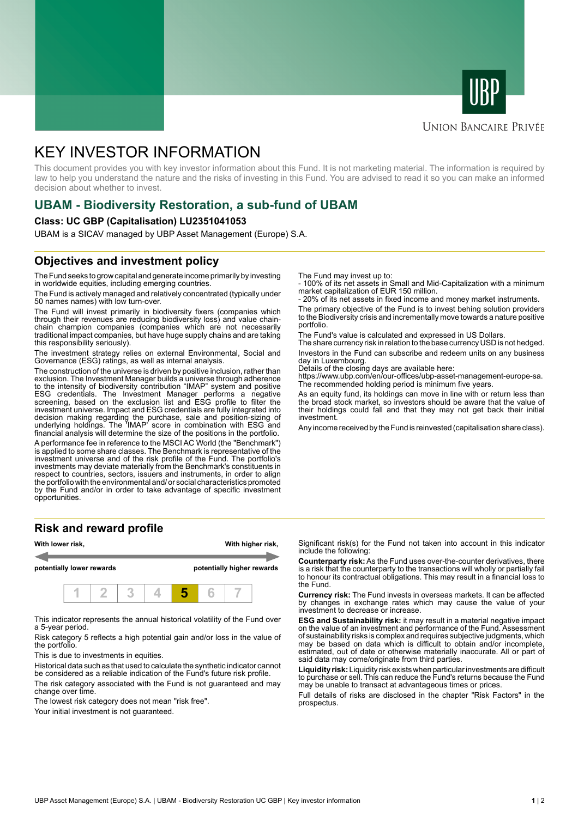



#### **UNION BANCAIRE PRIVÉE**

# KEY INVESTOR INFORMATION

This document provides you with key investor information about this Fund. It is not marketing material. The information is required by law to help you understand the nature and the risks of investing in this Fund. You are advised to read it so you can make an informed decision about whether to invest.

### **UBAM - Biodiversity Restoration, a sub-fund of UBAM**

#### **Class: UC GBP (Capitalisation) LU2351041053**

UBAM is a SICAV managed by UBP Asset Management (Europe) S.A.

### **Objectives and investment policy**

The Fund seeks to grow capital and generate income primarily by investing in worldwide equities, including emerging countries.

The Fund is actively managed and relatively concentrated (typically under 50 names names) with low turn-over.

The Fund will invest primarily in biodiversity fixers (companies which through their revenues are reducing biodiversity loss) and value chainchain champion companies (companies which are not necessarily traditional impact companies, but have huge supply chains and are taking this responsibility seriously).

The investment strategy relies on external Environmental, Social and Governance (ESG) ratings, as well as internal analysis.

The construction of the universe is driven by positive inclusion, rather than exclusion. The Investment Manager builds a universe through adherence to the intensity of biodiversity contribution "IMAP" system and positive ESG credentials. The Investment Manager performs a negative screening, based on the exclusion list and ESG profile to filter the investment universe. Impact and ESG credentials are fully integrated into decision making regarding the purchase, sale and position-sizing of underlying holdings. The 'IMAP' score in combination with ESG and financial analysis will determine the size of the positions in the portfolio.

A performance fee in reference to the MSCI AC World (the "Benchmark") is applied to some share classes. The Benchmark is representative of the investment universe and of the risk profile of the Fund. The portfolio's investments may deviate materially from the Benchmark's constituents in respect to countries, sectors, issuers and instruments, in order to align the portfolio with the environmental and/ or social characteristics promoted by the Fund and/or in order to take advantage of specific investment opportunities.

#### **Risk and reward profile**



This indicator represents the annual historical volatility of the Fund over a 5-year period.

Risk category 5 reflects a high potential gain and/or loss in the value of the portfolio.

This is due to investments in equities.

Historical data such as that used to calculate the synthetic indicator cannot be considered as a reliable indication of the Fund's future risk profile.

The risk category associated with the Fund is not guaranteed and may change over time.

The lowest risk category does not mean "risk free".

Your initial investment is not guaranteed.

The Fund may invest up to:

- 100% of its net assets in Small and Mid-Capitalization with a minimum market capitalization of EUR 150 million.

20% of its net assets in fixed income and money market instruments.

The primary objective of the Fund is to invest behing solution providers to the Biodiversity crisis and incrementally move towards a nature positive portfolio.

The Fund's value is calculated and expressed in US Dollars.

The share currency risk in relation to the base currency USD is not hedged. Investors in the Fund can subscribe and redeem units on any business day in Luxembourg.

Details of the closing days are available here:

https://www.ubp.com/en/our-offices/ubp-asset-management-europe-sa. The recommended holding period is minimum five years.

As an equity fund, its holdings can move in line with or return less than the broad stock market, so investors should be aware that the value of their holdings could fall and that they may not get back their initial investment.

Any income received by the Fund is reinvested (capitalisation share class).

Significant risk(s) for the Fund not taken into account in this indicator include the following:

**Counterparty risk:** As the Fund uses over-the-counter derivatives, there is a risk that the counterparty to the transactions will wholly or partially fail to honour its contractual obligations. This may result in a financial loss to the Fund.

**Currency risk:** The Fund invests in overseas markets. It can be affected by changes in exchange rates which may cause the value of your investment to decrease or increase.

**ESG and Sustainability risk:** it may result in a material negative impact on the value of an investment and performance of the Fund. Assessment of sustainability risks is complex and requires subjective judgments, which may be based on data which is difficult to obtain and/or incomplete, estimated, out of date or otherwise materially inaccurate. All or part of said data may come/originate from third parties.

**Liquidity risk:** Liquidity risk exists when particular investments are difficult to purchase or sell. This can reduce the Fund's returns because the Fund may be unable to transact at advantageous times or prices.

Full details of risks are disclosed in the chapter "Risk Factors" in the prospectus.